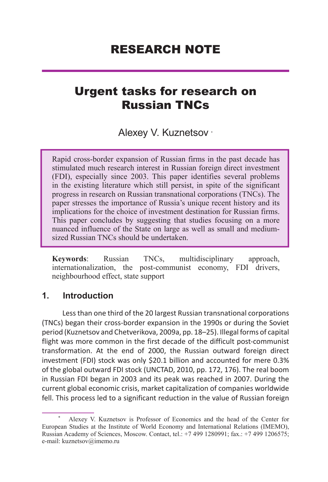# RESEARCH NOTE

# Urgent tasks for research on Russian TNCs

Alexey V. Kuznetsov \*

Rapid cross-border expansion of Russian firms in the past decade has stimulated much research interest in Russian foreign direct investment (FDI), especially since 2003. This paper identifies several problems in the existing literature which still persist, in spite of the significant progress in research on Russian transnational corporations (TNCs). The paper stresses the importance of Russia's unique recent history and its implications for the choice of investment destination for Russian firms. This paper concludes by suggesting that studies focusing on a more nuanced influence of the State on large as well as small and mediumsized Russian TNCs should be undertaken.

**Keywords**: Russian TNCs, multidisciplinary approach, internationalization, the post-communist economy, FDI drivers, neighbourhood effect, state support

## **1. Introduction**

Less than one third of the 20 largest Russian transnational corporations (TNCs) began their cross-border expansion in the 1990s or during the Soviet period (Kuznetsov and Chetverikova, 2009a, pp. 18–25). Illegal forms of capital flight was more common in the first decade of the difficult post-communist transformation. At the end of 2000, the Russian outward foreign direct investment (FDI) stock was only \$20.1 billion and accounted for mere 0.3% of the global outward FDI stock (UNCTAD, 2010, pp. 172, 176). The real boom in Russian FDI began in 2003 and its peak was reached in 2007. During the current global economic crisis, market capitalization of companies worldwide fell. This process led to a significant reduction in the value of Russian foreign

<sup>\*</sup> Alexey V. Kuznetsov is Professor of Economics and the head of the Center for European Studies at the Institute of World Economy and International Relations (IMEMO), Russian Academy of Sciences, Moscow. Contact, tel.: +7 499 1280991; fax.: +7 499 1206575; e-mail: kuznetsov@imemo.ru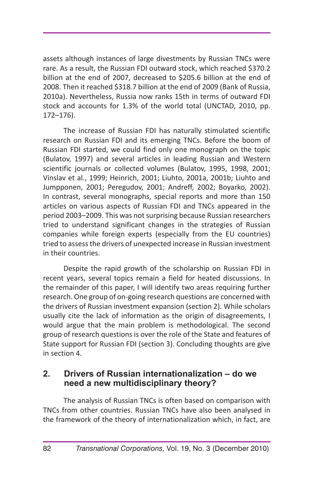assets although instances of large divestments by Russian TNCs were rare. As a result, the Russian FDI outward stock, which reached \$370.2 billion at the end of 2007, decreased to \$205.6 billion at the end of 2008. Then it reached \$318.7 billion at the end of 2009 (Bank of Russia, 2010a). Nevertheless, Russia now ranks 15th in terms of outward FDI stock and accounts for 1.3% of the world total (UNCTAD, 2010, pp. 172–176).

The increase of Russian FDI has naturally stimulated scientific research on Russian FDI and its emerging TNCs. Before the boom of Russian FDI started, we could find only one monograph on the topic (Bulatov, 1997) and several articles in leading Russian and Western scientific journals or collected volumes (Bulatov, 1995, 1998, 2001; Vinslav et al., 1999; Heinrich, 2001; Liuhto, 2001a, 2001b; Liuhto and Jumpponen, 2001; Peregudov, 2001; Andreff, 2002; Boyarko, 2002). In contrast, several monographs, special reports and more than 150 articles on various aspects of Russian FDI and TNCs appeared in the period 2003–2009. This was not surprising because Russian researchers tried to understand significant changes in the strategies of Russian companies while foreign experts (especially from the EU countries) tried to assess the drivers of unexpected increase in Russian investment in their countries.

Despite the rapid growth of the scholarship on Russian FDI in recent years, several topics remain a field for heated discussions. In the remainder of this paper, I will identify two areas requiring further research. One group of on-going research questions are concerned with the drivers of Russian investment expansion (section 2). While scholars usually cite the lack of information as the origin of disagreements, I would argue that the main problem is methodological. The second group of research questions is over the role of the State and features of State support for Russian FDI (section 3). Concluding thoughts are give in section 4.

## **2. Drivers of Russian internationalization – do we need a new multidisciplinary theory?**

The analysis of Russian TNCs is often based on comparison with TNCs from other countries. Russian TNCs have also been analysed in the framework of the theory of internationalization which, in fact, are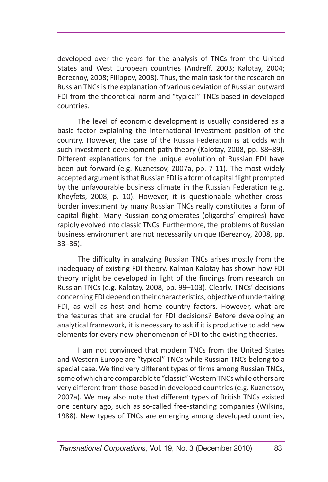developed over the years for the analysis of TNCs from the United States and West European countries (Andreff, 2003; Kalotay, 2004; Bereznoy, 2008; Filippov, 2008). Thus, the main task for the research on Russian TNCs is the explanation of various deviation of Russian outward FDI from the theoretical norm and "typical" TNCs based in developed countries.

The level of economic development is usually considered as a basic factor explaining the international investment position of the country. However, the case of the Russia Federation is at odds with such investment-development path theory (Kalotay, 2008, pp. 88–89). Different explanations for the unique evolution of Russian FDI have been put forward (e.g. Kuznetsov, 2007a, pp. 7-11). The most widely accepted argument is that Russian FDI is a form of capital flight prompted by the unfavourable business climate in the Russian Federation (e.g. Kheyfets, 2008, p. 10). However, it is questionable whether crossborder investment by many Russian TNCs really constitutes a form of capital flight. Many Russian conglomerates (oligarchs' empires) have rapidly evolved into classic TNCs. Furthermore, the problems of Russian business environment are not necessarily unique (Bereznoy, 2008, pp. 33–36).

The difficulty in analyzing Russian TNCs arises mostly from the inadequacy of existing FDI theory. Kalman Kalotay has shown how FDI theory might be developed in light of the findings from research on Russian TNCs (e.g. Kalotay, 2008, pp. 99–103). Clearly, TNCs' decisions concerning FDI depend on their characteristics, objective of undertaking FDI, as well as host and home country factors. However, what are the features that are crucial for FDI decisions? Before developing an analytical framework, it is necessary to ask if it is productive to add new elements for every new phenomenon of FDI to the existing theories.

I am not convinced that modern TNCs from the United States and Western Europe are "typical" TNCs while Russian TNCs belong to a special case. We find very different types of firms among Russian TNCs, some of which are comparable to "classic" Western TNCs while others are very different from those based in developed countries (e.g. Kuznetsov, 2007a). We may also note that different types of British TNCs existed one century ago, such as so-called free-standing companies (Wilkins, 1988). New types of TNCs are emerging among developed countries,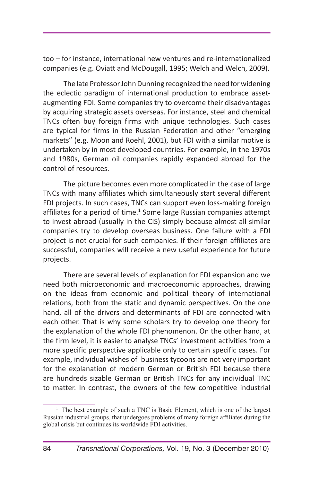too – for instance, international new ventures and re-internationalized companies (e.g. Oviatt and McDougall, 1995; Welch and Welch, 2009).

The late Professor John Dunning recognized the need for widening the eclectic paradigm of international production to embrace assetaugmenting FDI. Some companies try to overcome their disadvantages by acquiring strategic assets overseas. For instance, steel and chemical TNCs often buy foreign firms with unique technologies. Such cases are typical for firms in the Russian Federation and other "emerging markets" (e.g. Moon and Roehl, 2001), but FDI with a similar motive is undertaken by in most developed countries. For example, in the 1970s and 1980s, German oil companies rapidly expanded abroad for the control of resources.

The picture becomes even more complicated in the case of large TNCs with many affiliates which simultaneously start several different FDI projects. In such cases, TNCs can support even loss-making foreign affiliates for a period of time. $1$  Some large Russian companies attempt to invest abroad (usually in the CIS) simply because almost all similar companies try to develop overseas business. One failure with a FDI project is not crucial for such companies. If their foreign affiliates are successful, companies will receive a new useful experience for future projects.

There are several levels of explanation for FDI expansion and we need both microeconomic and macroeconomic approaches, drawing on the ideas from economic and political theory of international relations, both from the static and dynamic perspectives. On the one hand, all of the drivers and determinants of FDI are connected with each other. That is why some scholars try to develop one theory for the explanation of the whole FDI phenomenon. On the other hand, at the firm level, it is easier to analyse TNCs' investment activities from a more specific perspective applicable only to certain specific cases. For example, individual wishes of business tycoons are not very important for the explanation of modern German or British FDI because there are hundreds sizable German or British TNCs for any individual TNC to matter. In contrast, the owners of the few competitive industrial

<sup>&</sup>lt;sup>1</sup> The best example of such a TNC is Basic Element, which is one of the largest Russian industrial groups, that undergoes problems of many foreign affiliates during the global crisis but continues its worldwide FDI activities.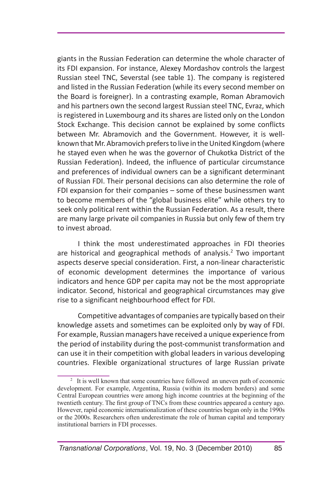giants in the Russian Federation can determine the whole character of its FDI expansion. For instance, Alexey Mordashov controls the largest Russian steel TNC, Severstal (see table 1). The company is registered and listed in the Russian Federation (while its every second member on the Board is foreigner). In a contrasting example, Roman Abramovich and his partners own the second largest Russian steel TNC, Evraz, which is registered in Luxembourg and its shares are listed only on the London Stock Exchange. This decision cannot be explained by some conflicts between Mr. Abramovich and the Government. However, it is wellknown that Mr. Abramovich prefers to live in the United Kingdom (where he stayed even when he was the governor of Chukotka District of the Russian Federation). Indeed, the influence of particular circumstance and preferences of individual owners can be a significant determinant of Russian FDI. Their personal decisions can also determine the role of FDI expansion for their companies – some of these businessmen want to become members of the "global business elite" while others try to seek only political rent within the Russian Federation. As a result, there are many large private oil companies in Russia but only few of them try to invest abroad.

I think the most underestimated approaches in FDI theories are historical and geographical methods of analysis.<sup>2</sup> Two important aspects deserve special consideration. First, a non-linear characteristic of economic development determines the importance of various indicators and hence GDP per capita may not be the most appropriate indicator. Second, historical and geographical circumstances may give rise to a significant neighbourhood effect for FDI.

Competitive advantages of companies are typically based on their knowledge assets and sometimes can be exploited only by way of FDI. For example, Russian managers have received a unique experience from the period of instability during the post-communist transformation and can use it in their competition with global leaders in various developing countries. Flexible organizational structures of large Russian private

<sup>&</sup>lt;sup>2</sup> It is well known that some countries have followed an uneven path of economic development. For example, Argentina, Russia (within its modern borders) and some Central European countries were among high income countries at the beginning of the twentieth century. The first group of TNCs from these countries appeared a century ago. However, rapid economic internationalization of these countries began only in the 1990s or the 2000s. Researchers often underestimate the role of human capital and temporary institutional barriers in FDI processes.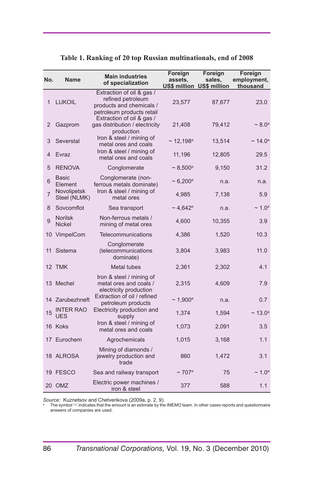| No. | <b>Name</b>                     | <b>Main industries</b><br>of specialization                                                             | Foreign<br>assets.         | Foreign<br>sales,         | Foreign<br>employment,   |  |
|-----|---------------------------------|---------------------------------------------------------------------------------------------------------|----------------------------|---------------------------|--------------------------|--|
|     |                                 |                                                                                                         |                            | US\$ million US\$ million | thousand                 |  |
| 1   | <b>LUKOIL</b>                   | Extraction of oil & gas /<br>refined petroleum<br>products and chemicals /<br>petroleum products retail | 23,577                     | 87,677                    | 23.0                     |  |
| 2   | Gazprom                         | Extraction of oil & gas /<br>gas distribution / electricity<br>production                               | 21,408                     | 79,412                    | $~1$ 8.0 <sup>a</sup>    |  |
| 3   | Severstal                       | Iron & steel / mining of<br>metal ores and coals                                                        | $\sim$ 12,198 <sup>a</sup> | 13,514                    | $\sim$ 14.0 <sup>a</sup> |  |
| 4   | Evraz                           | Iron & steel / mining of<br>metal ores and coals                                                        | 11,196                     | 12,805                    | 29.5                     |  |
| 5   | <b>RENOVA</b>                   | Conglomerate                                                                                            | $\sim 8,500^{\rm a}$       | 9,150                     | 31.2                     |  |
| 6   | <b>Basic</b><br>Element         | Conglomerate (non-<br>ferrous metals dominate)                                                          | $\sim 6,200^{\rm a}$       | n.a.                      | n.a.                     |  |
| 7   | Novolipetsk<br>Steel (NLMK)     | Iron & steel / mining of<br>metal ores                                                                  | 4,985                      | 7,138                     | 5.9                      |  |
| 8   | Sovcomflot                      | Sea transport                                                                                           | $\sim$ 4,642 <sup>a</sup>  | n.a.                      | $\sim 1.0^{\circ}$       |  |
| 9   | <b>Norilsk</b><br><b>Nickel</b> | Non-ferrous metals /<br>mining of metal ores                                                            | 4,600                      | 10,355                    | 3.9                      |  |
|     | 10 VimpelCom                    | Telecommunications                                                                                      | 4,386                      | 1,520                     | 10.3                     |  |
| 11  | Sistema                         | Conglomerate<br>(telecommunications<br>dominate)                                                        | 3,804                      | 3,983                     | 11.0                     |  |
|     | 12 TMK                          | Metal tubes                                                                                             | 2,361                      | 2,302                     | 4.1                      |  |
|     | 13 Mechel                       | Iron & steel / mining of<br>metal ores and coals /<br>electricity production                            | 2,315                      | 4,609                     | 7.9                      |  |
|     | 14 Zarubezhneft                 | Extraction of oil / refined<br>petroleum products                                                       | $\sim 1,900^{\rm a}$       | n.a.                      | 0.7                      |  |
| 15  | <b>INTER RAO</b><br><b>UES</b>  | Electricity production and<br>supply                                                                    | 1,374                      | 1,594                     | $\sim$ 13.0 <sup>a</sup> |  |
|     | 16 Koks                         | Iron & steel / mining of<br>metal ores and coals                                                        | 1,073                      | 2,091                     | 3.5                      |  |
|     | 17 Eurochem                     | Agrochemicals                                                                                           | 1,015                      | 3,168                     | 1.1                      |  |
|     | 18 ALROSA                       | Mining of diamonds /<br>jewelry production and<br>trade                                                 | 860                        | 1,472                     | 3.1                      |  |
|     | 19 FESCO                        | Sea and railway transport                                                                               | $\sim$ 707a                | 75                        | $\sim 1.0^{\circ}$       |  |
|     | 20 OMZ                          | Electric power machines /<br>iron & steel                                                               | 377                        | 588                       | 1.1                      |  |

#### **Table 1. Ranking of 20 top Russian multinationals, end of 2008**

 $\mathcal{S}ource\cdot$  Kuznetsov and Chetverikova (2009a, p. 2, 9).<br>® The symbol '~' indicates that the amount is an estimate by the IMEMO team. In other cases reports and questionnaire<br>answers of companies are used.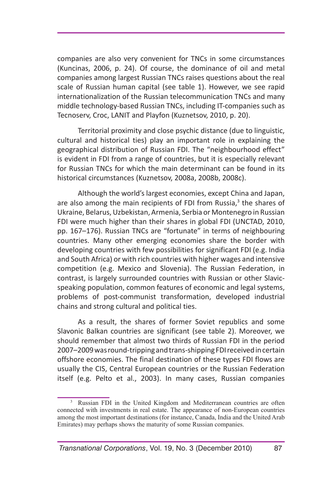companies are also very convenient for TNCs in some circumstances (Kuncinas, 2006, p. 24). Of course, the dominance of oil and metal companies among largest Russian TNCs raises questions about the real scale of Russian human capital (see table 1). However, we see rapid internationalization of the Russian telecommunication TNCs and many middle technology-based Russian TNCs, including IT-companies such as Tecnoserv, Croc, LANIT and Playfon (Kuznetsov, 2010, p. 20).

Territorial proximity and close psychic distance (due to linguistic, cultural and historical ties) play an important role in explaining the geographical distribution of Russian FDI. The "neighbourhood effect" is evident in FDI from a range of countries, but it is especially relevant for Russian TNCs for which the main determinant can be found in its historical circumstances (Kuznetsov, 2008a, 2008b, 2008c).

Although the world's largest economies, except China and Japan, are also among the main recipients of FDI from Russia,<sup>3</sup> the shares of Ukraine, Belarus, Uzbekistan, Armenia, Serbia or Montenegro in Russian FDI were much higher than their shares in global FDI (UNCTAD, 2010, pp. 167–176). Russian TNCs are "fortunate" in terms of neighbouring countries. Many other emerging economies share the border with developing countries with few possibilities for significant FDI (e.g. India and South Africa) or with rich countries with higher wages and intensive competition (e.g. Mexico and Slovenia). The Russian Federation, in contrast, is largely surrounded countries with Russian or other Slavicspeaking population, common features of economic and legal systems, problems of post-communist transformation, developed industrial chains and strong cultural and political ties.

As a result, the shares of former Soviet republics and some Slavonic Balkan countries are significant (see table 2). Moreover, we should remember that almost two thirds of Russian FDI in the period 2007–2009 was round-tripping and trans-shipping FDI received in certain offshore economies. The final destination of these types FDI flows are usually the CIS, Central European countries or the Russian Federation itself (e.g. Pelto et al., 2003). In many cases, Russian companies

<sup>3</sup> Russian FDI in the United Kingdom and Mediterranean countries are often connected with investments in real estate. The appearance of non-European countries among the most important destinations (for instance, Canada, India and the United Arab Emirates) may perhaps shows the maturity of some Russian companies.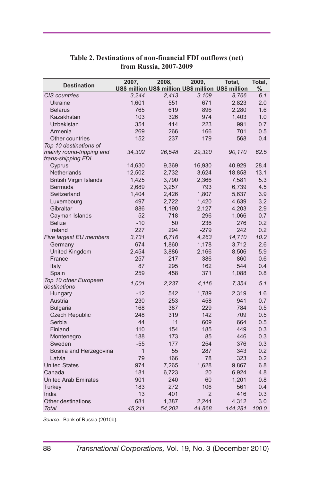| <b>Destination</b>            | 2007,        | 2008,  | 2009,          | Total,                                              | Total, |
|-------------------------------|--------------|--------|----------------|-----------------------------------------------------|--------|
|                               |              |        |                | US\$ million US\$ million US\$ million US\$ million | $\%$   |
| CIS countries                 | 3,244        | 2,413  | 3.109          | 8,766                                               | 6.1    |
| Ukraine                       | 1,601        | 551    | 671            | 2,823                                               | 2.0    |
| <b>Belarus</b>                | 765          | 619    | 896            | 2,280                                               | 1.6    |
| Kazakhstan                    | 103          | 326    | 974            | 1,403                                               | 1.0    |
| Uzbekistan                    | 354          | 414    | 223            | 991                                                 | 0.7    |
| Armenia                       | 269          | 266    | 166            | 701                                                 | 0.5    |
| Other countries               | 152          | 237    | 179            | 568                                                 | 0.4    |
| Top 10 destinations of        |              |        |                |                                                     |        |
| mainly round-tripping and     | 34,302       | 26,548 | 29,320         | 90,170                                              | 62.5   |
| trans-shipping FDI            |              |        |                |                                                     |        |
| Cyprus                        | 14,630       | 9,369  | 16,930         | 40,929                                              | 28.4   |
| Netherlands                   | 12,502       | 2,732  | 3,624          | 18,858                                              | 13.1   |
| <b>British Virgin Islands</b> | 1,425        | 3,790  | 2,366          | 7,581                                               | 5.3    |
| Bermuda                       | 2,689        | 3,257  | 793            | 6,739                                               | 4.5    |
| Switzerland                   | 1,404        | 2,426  | 1,807          | 5,637                                               | 3.9    |
| Luxembourg                    | 497          | 2,722  | 1,420          | 4,639                                               | 3.2    |
| Gibraltar                     | 886          | 1,190  | 2,127          | 4,203                                               | 2.9    |
| Cayman Islands                | 52           | 718    | 296            | 1,066                                               | 0.7    |
| <b>Belize</b>                 | $-10$        | 50     | 236            | 276                                                 | 0.2    |
| Ireland                       | 227          | 294    | $-279$         | 242                                                 | 0.2    |
| Five largest EU members       | 3,731        | 6,716  | 4,263          | 14,710                                              | 10.2   |
| Germany                       | 674          | 1,860  | 1,178          | 3,712                                               | 2.6    |
| United Kingdom                | 2,454        | 3,886  | 2,166          | 8,506                                               | 5.9    |
| France                        | 257          | 217    | 386            | 860                                                 | 0.6    |
| Italy                         | 87           | 295    | 162            | 544                                                 | 0.4    |
| Spain                         | 259          | 458    | 371            | 1,088                                               | 0.8    |
| Top 10 other European         | 1,001        |        |                |                                                     | 5.1    |
| destinations                  |              | 2,237  | 4,116          | 7,354                                               |        |
| Hungary                       | $-12$        | 542    | 1,789          | 2,319                                               | 1.6    |
| Austria                       | 230          | 253    | 458            | 941                                                 | 0.7    |
| <b>Bulgaria</b>               | 168          | 387    | 229            | 784                                                 | 0.5    |
| <b>Czech Republic</b>         | 248          | 319    | 142            | 709                                                 | 0.5    |
| Serbia                        | 44           | 11     | 609            | 664                                                 | 0.5    |
| Finland                       | 110          | 154    | 185            | 449                                                 | 0.3    |
| Montenegro                    | 188          | 173    | 85             | 446                                                 | 0.3    |
| Sweden                        | $-55$        | 177    | 254            | 376                                                 | 0.3    |
| Bosnia and Herzegovina        | $\mathbf{1}$ | 55     | 287            | 343                                                 | 0.2    |
| Latvia                        | 79           | 166    | 78             | 323                                                 | 0.2    |
| <b>United States</b>          | 974          | 7,265  | 1,628          | 9,867                                               | 6.8    |
| Canada                        | 181          | 6,723  | 20             | 6,924                                               | 4.8    |
| <b>United Arab Emirates</b>   | 901          | 240    | 60             | 1,201                                               | 0.8    |
| Turkey                        | 183          | 272    | 106            | 561                                                 | 0.4    |
| India                         | 13           | 401    | $\overline{2}$ | 416                                                 | 0.3    |
| Other destinations            | 681          | 1,387  | 2,244          | 4,312                                               | 3.0    |
| Total                         | 45,211       | 54,202 | 44,868         | 144,281                                             | 100.0  |

#### **Table 2. Destinations of non-financial FDI outflows (net) from Russia, 2007-2009**

*Source:* Bank of Russia (2010b).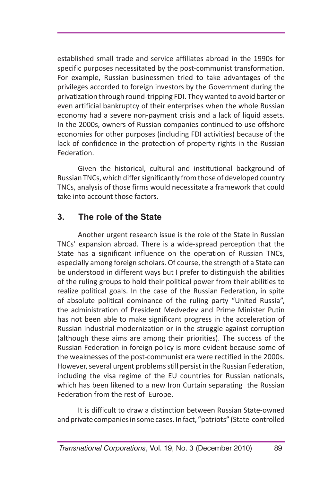established small trade and service affiliates abroad in the 1990s for specific purposes necessitated by the post-communist transformation. For example, Russian businessmen tried to take advantages of the privileges accorded to foreign investors by the Government during the privatization through round-tripping FDI. They wanted to avoid barter or even artificial bankruptcy of their enterprises when the whole Russian economy had a severe non-payment crisis and a lack of liquid assets. In the 2000s, owners of Russian companies continued to use offshore economies for other purposes (including FDI activities) because of the lack of confidence in the protection of property rights in the Russian Federation.

Given the historical, cultural and institutional background of Russian TNCs, which differ significantly from those of developed country TNCs, analysis of those firms would necessitate a framework that could take into account those factors.

# **3. The role of the State**

Another urgent research issue is the role of the State in Russian TNCs' expansion abroad. There is a wide-spread perception that the State has a significant influence on the operation of Russian TNCs, especially among foreign scholars. Of course, the strength of a State can be understood in different ways but I prefer to distinguish the abilities of the ruling groups to hold their political power from their abilities to realize political goals. In the case of the Russian Federation, in spite of absolute political dominance of the ruling party "United Russia", the administration of President Medvedev and Prime Minister Putin has not been able to make significant progress in the acceleration of Russian industrial modernization or in the struggle against corruption (although these aims are among their priorities). The success of the Russian Federation in foreign policy is more evident because some of the weaknesses of the post-communist era were rectified in the 2000s. However, several urgent problems still persist in the Russian Federation, including the visa regime of the EU countries for Russian nationals, which has been likened to a new Iron Curtain separating the Russian Federation from the rest of Europe.

It is difficult to draw a distinction between Russian State-owned and private companies in some cases. In fact, "patriots" (State-controlled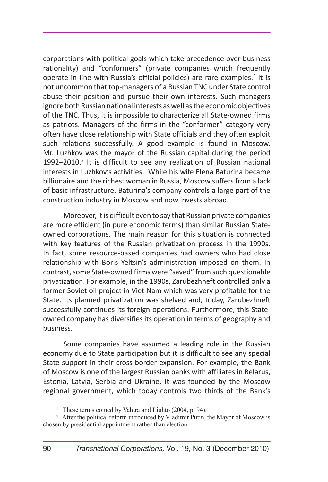corporations with political goals which take precedence over business rationality) and "conformers" (private companies which frequently operate in line with Russia's official policies) are rare examples.<sup>4</sup> It is not uncommon that top-managers of a Russian TNC under State control abuse their position and pursue their own interests. Such managers ignore both Russian national interests as well as the economic objectives of the TNC. Thus, it is impossible to characterize all State-owned firms as patriots. Managers of the firms in the "conformer" category very often have close relationship with State officials and they often exploit such relations successfully. A good example is found in Moscow. Mr. Luzhkov was the mayor of the Russian capital during the period 1992 $-$ 2010.<sup>5</sup> It is difficult to see any realization of Russian national interests in Luzhkov's activities. While his wife Elena Baturina became billionaire and the richest woman in Russia, Moscow suffers from a lack of basic infrastructure. Baturina's company controls a large part of the construction industry in Moscow and now invests abroad.

Moreover, it is difficult even to say that Russian private companies are more efficient (in pure economic terms) than similar Russian Stateowned corporations. The main reason for this situation is connected with key features of the Russian privatization process in the 1990s. In fact, some resource-based companies had owners who had close relationship with Boris Yeltsin's administration imposed on them. In contrast, some State-owned firms were "saved" from such questionable privatization. For example, in the 1990s, Zarubezhneft controlled only a former Soviet oil project in Viet Nam which was very profitable for the State. Its planned privatization was shelved and, today, Zarubezhneft successfully continues its foreign operations. Furthermore, this Stateowned company has diversifies its operation in terms of geography and business.

Some companies have assumed a leading role in the Russian economy due to State participation but it is difficult to see any special State support in their cross-border expansion. For example, the Bank of Moscow is one of the largest Russian banks with affiliates in Belarus, Estonia, Latvia, Serbia and Ukraine. It was founded by the Moscow regional government, which today controls two thirds of the Bank's

<sup>4</sup> These terms coined by Vahtra and Liuhto (2004, p. 94).

<sup>&</sup>lt;sup>5</sup> After the political reform introduced by Vladimir Putin, the Mayor of Moscow is chosen by presidential appointment rather than election.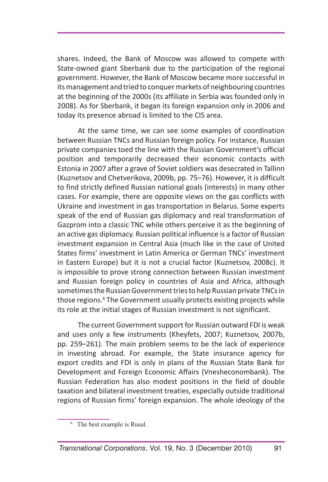shares. Indeed, the Bank of Moscow was allowed to compete with State-owned giant Sberbank due to the participation of the regional government. However, the Bank of Moscow became more successful in its management and tried to conquer markets of neighbouring countries at the beginning of the 2000s (its affiliate in Serbia was founded only in 2008). As for Sberbank, it began its foreign expansion only in 2006 and today its presence abroad is limited to the CIS area.

At the same time, we can see some examples of coordination between Russian TNCs and Russian foreign policy. For instance, Russian private companies toed the line with the Russian Government's official position and temporarily decreased their economic contacts with Estonia in 2007 after a grave of Soviet soldiers was desecrated in Tallinn (Kuznetsov and Chetverikova, 2009b, pp. 75–76). However, it is difficult to find strictly defined Russian national goals (interests) in many other cases. For example, there are opposite views on the gas conflicts with Ukraine and investment in gas transportation in Belarus. Some experts speak of the end of Russian gas diplomacy and real transformation of Gazprom into a classic TNC while others perceive it as the beginning of an active gas diplomacy. Russian political influence is a factor of Russian investment expansion in Central Asia (much like in the case of United States firms' investment in Latin America or German TNCs' investment in Eastern Europe) but it is not a crucial factor (Kuznetsov, 2008c). It is impossible to prove strong connection between Russian investment and Russian foreign policy in countries of Asia and Africa, although sometimes the Russian Government tries to help Russian private TNCs in those regions.<sup>6</sup> The Government usually protects existing projects while its role at the initial stages of Russian investment is not significant.

The current Government support for Russian outward FDI is weak and uses only a few instruments (Kheyfets, 2007; Kuznetsov, 2007b, pp. 259–261). The main problem seems to be the lack of experience in investing abroad. For example, the State insurance agency for export credits and FDI is only in plans of the Russian State Bank for Development and Foreign Economic Affairs (Vnesheconombank). The Russian Federation has also modest positions in the field of double taxation and bilateral investment treaties, especially outside traditional regions of Russian firms' foreign expansion. The whole ideology of the

<sup>&</sup>lt;sup>6</sup> The best example is Rusal.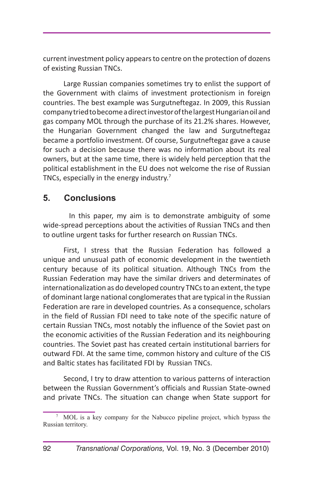current investment policy appears to centre on the protection of dozens of existing Russian TNCs.

Large Russian companies sometimes try to enlist the support of the Government with claims of investment protectionism in foreign countries. The best example was Surgutneftegaz. In 2009, this Russian company tried to become a direct investor of the largest Hungarian oil and gas company MOL through the purchase of its 21.2% shares. However, the Hungarian Government changed the law and Surgutneftegaz became a portfolio investment. Of course, Surgutneftegaz gave a cause for such a decision because there was no information about its real owners, but at the same time, there is widely held perception that the political establishment in the EU does not welcome the rise of Russian TNCs, especially in the energy industry.<sup>7</sup>

# **5. Conclusions**

In this paper, my aim is to demonstrate ambiguity of some wide-spread perceptions about the activities of Russian TNCs and then to outline urgent tasks for further research on Russian TNCs.

First, I stress that the Russian Federation has followed a unique and unusual path of economic development in the twentieth century because of its political situation. Although TNCs from the Russian Federation may have the similar drivers and determinates of internationalization as do developed country TNCs to an extent, the type of dominant large national conglomerates that are typical in the Russian Federation are rare in developed countries. As a consequence, scholars in the field of Russian FDI need to take note of the specific nature of certain Russian TNCs, most notably the influence of the Soviet past on the economic activities of the Russian Federation and its neighbouring countries. The Soviet past has created certain institutional barriers for outward FDI. At the same time, common history and culture of the CIS and Baltic states has facilitated FDI by Russian TNCs.

Second, I try to draw attention to various patterns of interaction between the Russian Government's officials and Russian State-owned and private TNCs. The situation can change when State support for

<sup>7</sup> MOL is a key company for the Nabucco pipeline project, which bypass the Russian territory.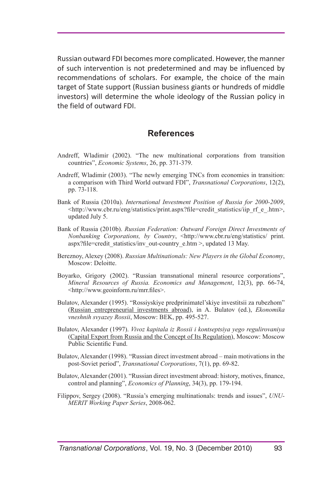Russian outward FDI becomes more complicated. However, the manner of such intervention is not predetermined and may be influenced by recommendations of scholars. For example, the choice of the main target of State support (Russian business giants or hundreds of middle investors) will determine the whole ideology of the Russian policy in the field of outward FDI.

### **References**

- Andreff, Wladimir (2002). "The new multinational corporations from transition countries", *Economic Systems*, 26, pp. 371-379.
- Andreff, Wladimir (2003). "The newly emerging TNCs from economies in transition: a comparison with Third World outward FDI", *Transnational Corporations*, 12(2), pp. 73-118.
- Bank of Russia (2010a). *International Investment Position of Russia for 2000-2009*, <http://www.cbr.ru/eng/statistics/print.aspx?file=credit\_statistics/iip\_rf\_e\_.htm>, updated July 5.
- Bank of Russia (2010b). *Russian Federation: Outward Foreign Direct Investments of Nonbanking Corporations, by Country, <http://www.cbr.ru/eng/statistics/ print.* aspx?file=credit\_statistics/inv\_out-country\_e.htm >, updated 13 May.
- Bereznoy, Alexey (2008). *Russian Multinationals: New Players in the Global Economy*, Moscow: Deloitte.
- Boyarko, Grigory (2002). "Russian transnational mineral resource corporations", *Mineral Resources of Russia. Economics and Management*, 12(3), pp. 66-74, <http://www.geoinform.ru/mrr.files>.
- Bulatov, Alexander (1995). "Rossiyskiye predprinimatel'skiye investitsii za rubezhom" (Russian entrepreneurial investments abroad), in A. Bulatov (ed.), *Ekonomika vneshnih svyazey Rossii*, Moscow: BEK, pp. 495-527.
- Bulatov, Alexander (1997). *Vivoz kapitala iz Rossii i kontseptsiya yego regulirovaniya* (Capital Export from Russia and the Concept of Its Regulation), Moscow: Moscow Public Scientific Fund.
- Bulatov, Alexander (1998). "Russian direct investment abroad main motivations in the post-Soviet period", *Transnational Corporations*, 7(1), pp. 69-82.
- Bulatov, Alexander (2001). "Russian direct investment abroad: history, motives, finance, control and planning", *Economics of Planning*, 34(3), pp. 179-194.
- Filippov, Sergey (2008). "Russia's emerging multinationals: trends and issues", *UNU-MERIT Working Paper Series*, 2008-062.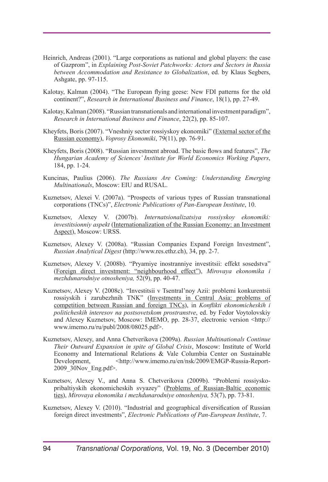- Heinrich, Andreas (2001). "Large corporations as national and global players: the case of Gazprom", in *Explaining Post-Soviet Patchworks: Actors and Sectors in Russia between Accommodation and Resistance to Globalization*, ed. by Klaus Segbers, Ashgate, pp. 97-115.
- Kalotay, Kalman (2004). "The European flying geese: New FDI patterns for the old continent?", *Research in International Business and Finance*, 18(1), pp. 27-49.
- Kalotay, Kalman (2008). "Russian transnationals and international investment paradigm", *Research in International Business and Finance*, 22(2), pp. 85-107.
- Kheyfets, Boris (2007). "Vneshniy sector rossiyskoy ekonomiki" (External sector of the Russian economy), *Voprosy Ekonomiki*, 79(11), pp. 76-91.
- Kheyfets, Boris (2008). "Russian investment abroad. The basic flows and features", *The Hungarian Academy of Sciences' Institute for World Economics Working Papers*, 184, pp. 1-24.
- Kuncinas, Paulius (2006). *The Russians Are Coming: Understanding Emerging Multinationals*, Moscow: EIU and RUSAL.
- Kuznetsov, Alexei V. (2007a). "Prospects of various types of Russian transnational corporations (TNCs)", *Electronic Publications of Pan-European Institute*, 10.
- Kuznetsov, Alexey V. (2007b). *Internatsionalizatsiya rossiyskoy ekonomiki: investitsionniy aspekt* (Internationalization of the Russian Economy: an Investment Aspect), Moscow: URSS.
- Kuznetsov, Alexey V. (2008a). "Russian Companies Expand Foreign Investment", *Russian Analytical Digest* (http://www.res.ethz.ch), 34, pp. 2-7.
- Kuznetsov, Alexey V. (2008b). "Pryamiye inostranniye investitsii: effekt sosedstva" (Foreign direct investment: "neighbourhood effect"), *Mirovaya ekonomika i mezhdunarodniye otnosheniya,* 52(9), pp. 40-47.
- Kuznetsov, Alexey V. (2008c). "Investitsii v Tsentral'noy Azii: problemi konkurentsii rossiyskih i zarubezhnih TNK" (Investments in Central Asia: problems of competition between Russian and foreign TNCs), in *Konflikti ekonomicheskih i politicheskih interesov na postsovetskom prostranstve*, ed. by Fedor Voytolovskiy and Alexey Kuznetsov, Moscow: IMEMO, pp. 28-37, electronic version <http:// www.imemo.ru/ru/publ/2008/08025.pdf>.
- Kuznetsov, Alexey, and Anna Chetverikova (2009a). *Russian Multinationals Continue Their Outward Expansion in spite of Global Crisis*, Moscow: Institute of World Economy and International Relations & Vale Columbia Center on Sustainable Development, <http://www.imemo.ru/en/nsk/2009/EMGP-Russia-Report-2009\_30Nov\_Eng.pdf>.
- Kuznetsov, Alexey V., and Anna S. Chetverikova (2009b). "Problemi rossiyskopribaltiyskih ekonomicheskih svyazey" (Problems of Russian-Baltic economic ties), *Mirovaya ekonomika i mezhdunarodniye otnosheniya,* 53(7), pp. 73-81.
- Kuznetsov, Alexey V. (2010). "Industrial and geographical diversification of Russian foreign direct investments", *Electronic Publications of Pan-European Institute*, 7.